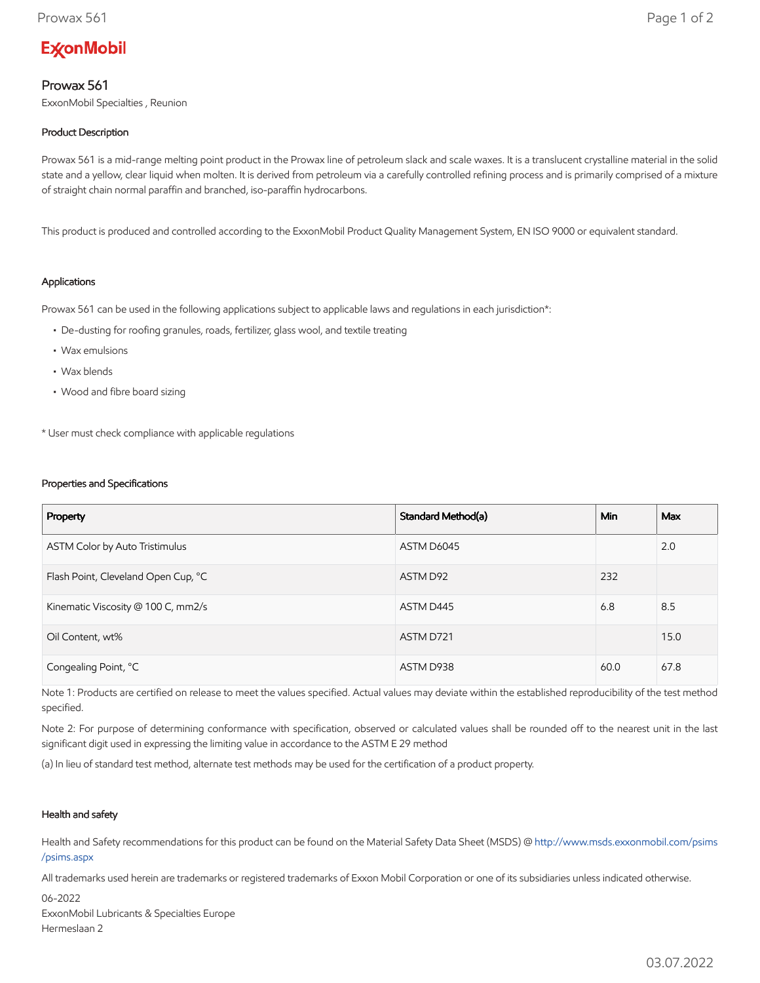# **ExconMobil**

## Prowax 561

ExxonMobil Specialties , Reunion

### Product Description

Prowax 561 is a mid-range melting point product in the Prowax line of petroleum slack and scale waxes. It is a translucent crystalline material in the solid state and a yellow, clear liquid when molten. It is derived from petroleum via a carefully controlled refining process and is primarily comprised of a mixture of straight chain normal paraffin and branched, iso-paraffin hydrocarbons.

This product is produced and controlled according to the ExxonMobil Product Quality Management System, EN ISO 9000 or equivalent standard.

#### Applications

Prowax 561 can be used in the following applications subject to applicable laws and regulations in each jurisdiction\*:

- De-dusting for roofing granules, roads, fertilizer, glass wool, and textile treating
- Wax emulsions
- Wax blends
- Wood and fibre board sizing

\* User must check compliance with applicable regulations

#### Properties and Specifications

| Property                            | Standard Method(a) | <b>Min</b> | Max  |
|-------------------------------------|--------------------|------------|------|
| ASTM Color by Auto Tristimulus      | ASTM D6045         |            | 2.0  |
| Flash Point, Cleveland Open Cup, °C | ASTM D92           | 232        |      |
| Kinematic Viscosity @ 100 C, mm2/s  | ASTM D445          | 6.8        | 8.5  |
| Oil Content, wt%                    | ASTM D721          |            | 15.0 |
| Congealing Point, °C                | ASTM D938          | 60.0       | 67.8 |

Note 1: Products are certified on release to meet the values specified. Actual values may deviate within the established reproducibility of the test method specified.

Note 2: For purpose of determining conformance with specification, observed or calculated values shall be rounded off to the nearest unit in the last significant digit used in expressing the limiting value in accordance to the ASTM E 29 method

(a) In lieu of standard test method, alternate test methods may be used for the certification of a product property.

#### Health and safety

Health and Safety recommendations for this product can be found on the Material Safety Data Sheet (MSDS) @ [http://www.msds.exxonmobil.com/psims](http://www.msds.exxonmobil.com/psims/psims.aspx) /psims.aspx

All trademarks used herein are trademarks or registered trademarks of Exxon Mobil Corporation or one of its subsidiaries unless indicated otherwise.

06-2022 ExxonMobil Lubricants & Specialties Europe Hermeslaan 2